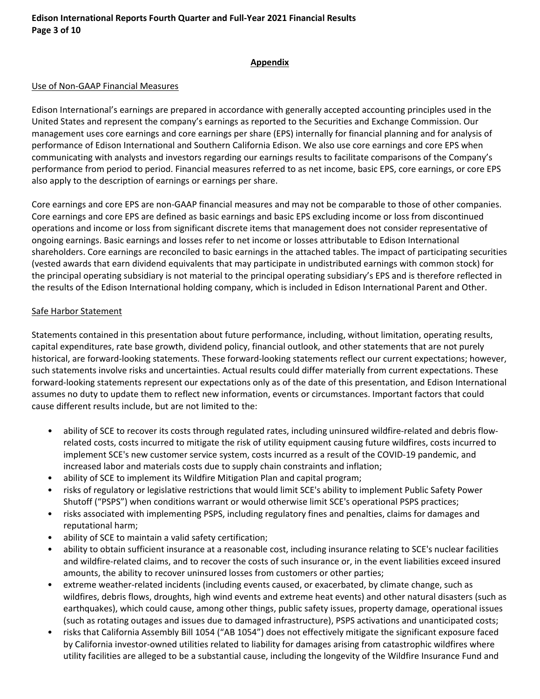## **Appendix**

## Use of Non-GAAP Financial Measures

Edison International's earnings are prepared in accordance with generally accepted accounting principles used in the United States and represent the company's earnings as reported to the Securities and Exchange Commission. Our management uses core earnings and core earnings per share (EPS) internally for financial planning and for analysis of performance of Edison International and Southern California Edison. We also use core earnings and core EPS when communicating with analysts and investors regarding our earnings results to facilitate comparisons of the Company's performance from period to period. Financial measures referred to as net income, basic EPS, core earnings, or core EPS also apply to the description of earnings or earnings per share.

Core earnings and core EPS are non-GAAP financial measures and may not be comparable to those of other companies. Core earnings and core EPS are defined as basic earnings and basic EPS excluding income or loss from discontinued operations and income or loss from significant discrete items that management does not consider representative of ongoing earnings. Basic earnings and losses refer to net income or losses attributable to Edison International shareholders. Core earnings are reconciled to basic earnings in the attached tables. The impact of participating securities (vested awards that earn dividend equivalents that may participate in undistributed earnings with common stock) for the principal operating subsidiary is not material to the principal operating subsidiary's EPS and is therefore reflected in the results of the Edison International holding company, which is included in Edison International Parent and Other.

## Safe Harbor Statement

Statements contained in this presentation about future performance, including, without limitation, operating results, capital expenditures, rate base growth, dividend policy, financial outlook, and other statements that are not purely historical, are forward-looking statements. These forward-looking statements reflect our current expectations; however, such statements involve risks and uncertainties. Actual results could differ materially from current expectations. These forward-looking statements represent our expectations only as of the date of this presentation, and Edison International assumes no duty to update them to reflect new information, events or circumstances. Important factors that could cause different results include, but are not limited to the:

- ability of SCE to recover its costs through regulated rates, including uninsured wildfire-related and debris flowrelated costs, costs incurred to mitigate the risk of utility equipment causing future wildfires, costs incurred to implement SCE's new customer service system, costs incurred as a result of the COVID-19 pandemic, and increased labor and materials costs due to supply chain constraints and inflation;
- ability of SCE to implement its Wildfire Mitigation Plan and capital program;
- risks of regulatory or legislative restrictions that would limit SCE's ability to implement Public Safety Power Shutoff ("PSPS") when conditions warrant or would otherwise limit SCE's operational PSPS practices;
- risks associated with implementing PSPS, including regulatory fines and penalties, claims for damages and reputational harm;
- ability of SCE to maintain a valid safety certification;
- ability to obtain sufficient insurance at a reasonable cost, including insurance relating to SCE's nuclear facilities and wildfire-related claims, and to recover the costs of such insurance or, in the event liabilities exceed insured amounts, the ability to recover uninsured losses from customers or other parties;
- extreme weather-related incidents (including events caused, or exacerbated, by climate change, such as wildfires, debris flows, droughts, high wind events and extreme heat events) and other natural disasters (such as earthquakes), which could cause, among other things, public safety issues, property damage, operational issues (such as rotating outages and issues due to damaged infrastructure), PSPS activations and unanticipated costs;
- risks that California Assembly Bill 1054 ("AB 1054") does not effectively mitigate the significant exposure faced by California investor-owned utilities related to liability for damages arising from catastrophic wildfires where utility facilities are alleged to be a substantial cause, including the longevity of the Wildfire Insurance Fund and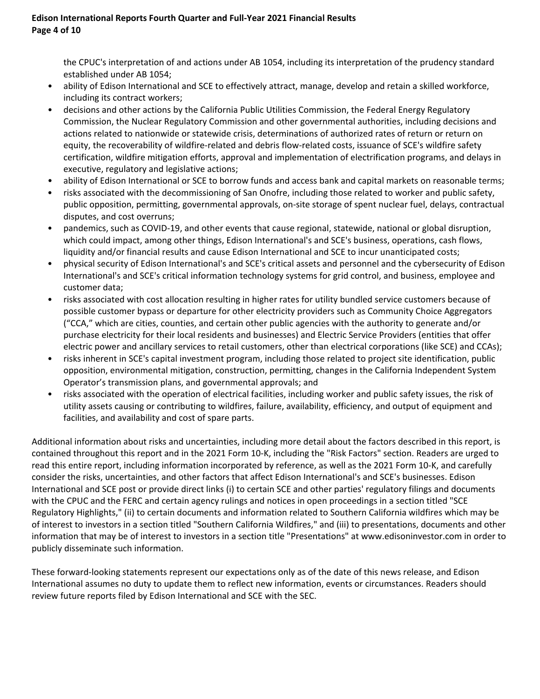## **Edison International Reports Fourth Quarter and Full-Year 2021 Financial Results Page 4 of 10**

the CPUC's interpretation of and actions under AB 1054, including its interpretation of the prudency standard established under AB 1054;

- ability of Edison International and SCE to effectively attract, manage, develop and retain a skilled workforce, including its contract workers;
- decisions and other actions by the California Public Utilities Commission, the Federal Energy Regulatory Commission, the Nuclear Regulatory Commission and other governmental authorities, including decisions and actions related to nationwide or statewide crisis, determinations of authorized rates of return or return on equity, the recoverability of wildfire-related and debris flow-related costs, issuance of SCE's wildfire safety certification, wildfire mitigation efforts, approval and implementation of electrification programs, and delays in executive, regulatory and legislative actions;
- ability of Edison International or SCE to borrow funds and access bank and capital markets on reasonable terms;
- risks associated with the decommissioning of San Onofre, including those related to worker and public safety, public opposition, permitting, governmental approvals, on-site storage of spent nuclear fuel, delays, contractual disputes, and cost overruns;
- pandemics, such as COVID-19, and other events that cause regional, statewide, national or global disruption, which could impact, among other things, Edison International's and SCE's business, operations, cash flows, liquidity and/or financial results and cause Edison International and SCE to incur unanticipated costs;
- physical security of Edison International's and SCE's critical assets and personnel and the cybersecurity of Edison International's and SCE's critical information technology systems for grid control, and business, employee and customer data;
- risks associated with cost allocation resulting in higher rates for utility bundled service customers because of possible customer bypass or departure for other electricity providers such as Community Choice Aggregators ("CCA," which are cities, counties, and certain other public agencies with the authority to generate and/or purchase electricity for their local residents and businesses) and Electric Service Providers (entities that offer electric power and ancillary services to retail customers, other than electrical corporations (like SCE) and CCAs);
- risks inherent in SCE's capital investment program, including those related to project site identification, public opposition, environmental mitigation, construction, permitting, changes in the California Independent System Operator's transmission plans, and governmental approvals; and
- risks associated with the operation of electrical facilities, including worker and public safety issues, the risk of utility assets causing or contributing to wildfires, failure, availability, efficiency, and output of equipment and facilities, and availability and cost of spare parts.

Additional information about risks and uncertainties, including more detail about the factors described in this report, is contained throughout this report and in the 2021 Form 10-K, including the "Risk Factors" section. Readers are urged to read this entire report, including information incorporated by reference, as well as the 2021 Form 10-K, and carefully consider the risks, uncertainties, and other factors that affect Edison International's and SCE's businesses. Edison International and SCE post or provide direct links (i) to certain SCE and other parties' regulatory filings and documents with the CPUC and the FERC and certain agency rulings and notices in open proceedings in a section titled "SCE Regulatory Highlights," (ii) to certain documents and information related to Southern California wildfires which may be of interest to investors in a section titled "Southern California Wildfires," and (iii) to presentations, documents and other information that may be of interest to investors in a section title "Presentations" at www.edisoninvestor.com in order to publicly disseminate such information.

These forward-looking statements represent our expectations only as of the date of this news release, and Edison International assumes no duty to update them to reflect new information, events or circumstances. Readers should review future reports filed by Edison International and SCE with the SEC.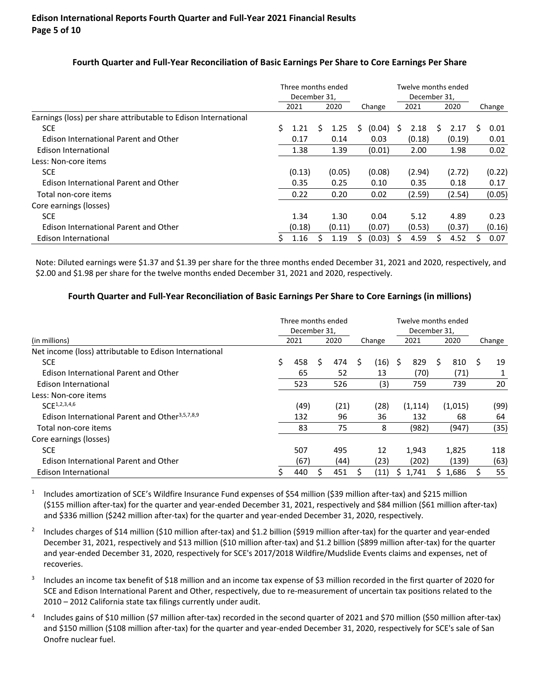|                                                                | Three months ended<br>December 31, |   |        |   |        |   | Twelve months ended<br>December 31, |   |        |   |        |
|----------------------------------------------------------------|------------------------------------|---|--------|---|--------|---|-------------------------------------|---|--------|---|--------|
|                                                                | 2021                               |   | 2020   |   | Change |   | 2021                                |   | 2020   |   | Change |
| Earnings (loss) per share attributable to Edison International |                                    |   |        |   |        |   |                                     |   |        |   |        |
| <b>SCE</b>                                                     | 1.21                               | Ś | 1.25   | S | (0.04) | S | 2.18                                | S | 2.17   | S | 0.01   |
| Edison International Parent and Other                          | 0.17                               |   | 0.14   |   | 0.03   |   | (0.18)                              |   | (0.19) |   | 0.01   |
| Edison International                                           | 1.38                               |   | 1.39   |   | (0.01) |   | 2.00                                |   | 1.98   |   | 0.02   |
| Less: Non-core items                                           |                                    |   |        |   |        |   |                                     |   |        |   |        |
| <b>SCE</b>                                                     | (0.13)                             |   | (0.05) |   | (0.08) |   | (2.94)                              |   | (2.72) |   | (0.22) |
| Edison International Parent and Other                          | 0.35                               |   | 0.25   |   | 0.10   |   | 0.35                                |   | 0.18   |   | 0.17   |
| Total non-core items                                           | 0.22                               |   | 0.20   |   | 0.02   |   | (2.59)                              |   | (2.54) |   | (0.05) |
| Core earnings (losses)                                         |                                    |   |        |   |        |   |                                     |   |        |   |        |
| <b>SCE</b>                                                     | 1.34                               |   | 1.30   |   | 0.04   |   | 5.12                                |   | 4.89   |   | 0.23   |
| Edison International Parent and Other                          | (0.18)                             |   | (0.11) |   | (0.07) |   | (0.53)                              |   | (0.37) |   | (0.16) |
| Edison International                                           | 1.16                               |   | 1.19   | ς | (0.03) |   | 4.59                                |   | 4.52   |   | 0.07   |

## **Fourth Quarter and Full-Year Reconciliation of Basic Earnings Per Share to Core Earnings Per Share**

Note: Diluted earnings were \$1.37 and \$1.39 per share for the three months ended December 31, 2021 and 2020, respectively, and \$2.00 and \$1.98 per share for the twelve months ended December 31, 2021 and 2020, respectively.

#### **Fourth Quarter and Full-Year Reconciliation of Basic Earnings Per Share to Core Earnings (in millions)**

|                                                            |    | Three months ended<br>December 31. |    |      |   |        |   | Twelve months ended<br>December 31, |   |         |   |        |
|------------------------------------------------------------|----|------------------------------------|----|------|---|--------|---|-------------------------------------|---|---------|---|--------|
| (in millions)                                              |    | 2021                               |    | 2020 |   | Change |   | 2021                                |   | 2020    |   | Change |
| Net income (loss) attributable to Edison International     |    |                                    |    |      |   |        |   |                                     |   |         |   |        |
| <b>SCE</b>                                                 | Ś. | 458                                | Ś. | 474  | S | (16)   | S | 829                                 | S | 810     | S | 19     |
| Edison International Parent and Other                      |    | 65                                 |    | 52   |   | 13     |   | (70)                                |   | (71)    |   |        |
| Edison International                                       |    | 523                                |    | 526  |   | (3)    |   | 759                                 |   | 739     |   | 20     |
| Less: Non-core items                                       |    |                                    |    |      |   |        |   |                                     |   |         |   |        |
| $SCE^{1,2,3,4,6}$                                          |    | (49)                               |    | (21) |   | (28)   |   | (1, 114)                            |   | (1,015) |   | (99)   |
| Edison International Parent and Other <sup>3,5,7,8,9</sup> |    | 132                                |    | 96   |   | 36     |   | 132                                 |   | 68      |   | 64     |
| Total non-core items                                       |    | 83                                 |    | 75   |   | 8      |   | (982)                               |   | (947)   |   | (35)   |
| Core earnings (losses)                                     |    |                                    |    |      |   |        |   |                                     |   |         |   |        |
| <b>SCE</b>                                                 |    | 507                                |    | 495  |   | 12     |   | 1.943                               |   | 1.825   |   | 118    |
| Edison International Parent and Other                      |    | (67)                               |    | (44) |   | (23)   |   | (202)                               |   | (139)   |   | (63)   |
| Edison International                                       |    | 440                                |    | 451  |   | (11)   | s | 1,741                               |   | 1,686   |   | 55     |

<sup>1</sup> Includes amortization of SCE's Wildfire Insurance Fund expenses of \$54 million (\$39 million after-tax) and \$215 million (\$155 million after-tax) for the quarter and year-ended December 31, 2021, respectively and \$84 million (\$61 million after-tax) and \$336 million (\$242 million after-tax) for the quarter and year-ended December 31, 2020, respectively.

<sup>2</sup> Includes charges of \$14 million (\$10 million after-tax) and \$1.2 billion (\$919 million after-tax) for the quarter and year-ended December 31, 2021, respectively and \$13 million (\$10 million after-tax) and \$1.2 billion (\$899 million after-tax) for the quarter and year-ended December 31, 2020, respectively for SCE's 2017/2018 Wildfire/Mudslide Events claims and expenses, net of recoveries.

<sup>3</sup> Includes an income tax benefit of \$18 million and an income tax expense of \$3 million recorded in the first quarter of 2020 for SCE and Edison International Parent and Other, respectively, due to re-measurement of uncertain tax positions related to the 2010 – 2012 California state tax filings currently under audit.

<sup>4</sup> Includes gains of \$10 million (\$7 million after-tax) recorded in the second quarter of 2021 and \$70 million (\$50 million after-tax) and \$150 million (\$108 million after-tax) for the quarter and year-ended December 31, 2020, respectively for SCE's sale of San Onofre nuclear fuel.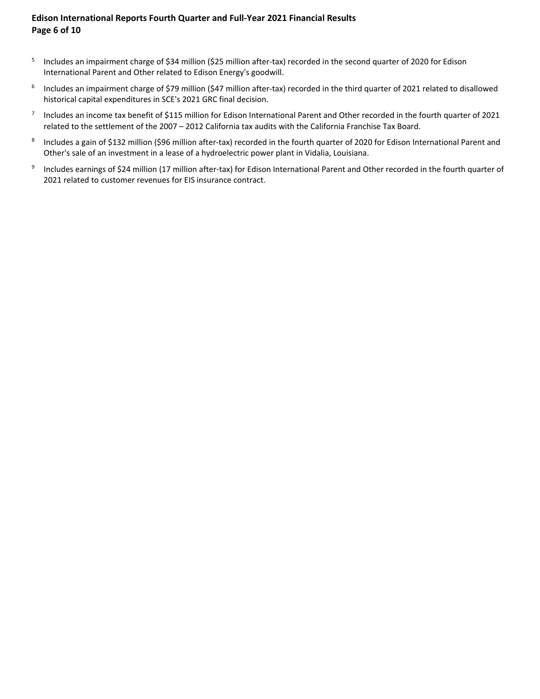## **Edison International Reports Fourth Quarter and Full-Year 2021 Financial Results Page 6 of 10**

- <sup>5</sup> Includes an impairment charge of \$34 million (\$25 million after-tax) recorded in the second quarter of 2020 for Edison International Parent and Other related to Edison Energy's goodwill.
- <sup>6</sup> Includes an impairment charge of \$79 million (\$47 million after-tax) recorded in the third quarter of 2021 related to disallowed historical capital expenditures in SCE's 2021 GRC final decision.
- <sup>7</sup> Includes an income tax benefit of \$115 million for Edison International Parent and Other recorded in the fourth quarter of 2021 related to the settlement of the 2007 – 2012 California tax audits with the California Franchise Tax Board.
- <sup>8</sup> Includes a gain of \$132 million (\$96 million after-tax) recorded in the fourth quarter of 2020 for Edison International Parent and Other's sale of an investment in a lease of a hydroelectric power plant in Vidalia, Louisiana.
- <sup>9</sup> Includes earnings of \$24 million (17 million after-tax) for Edison International Parent and Other recorded in the fourth quarter of 2021 related to customer revenues for EIS insurance contract.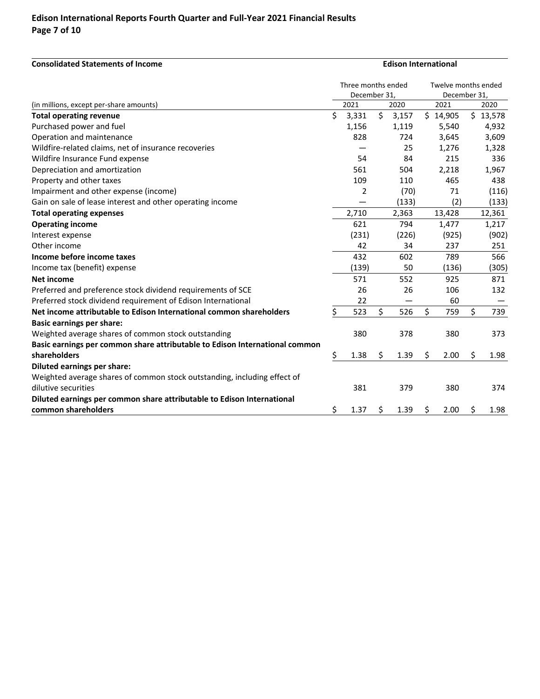# **Edison International Reports Fourth Quarter and Full-Year 2021 Financial Results Page 7 of 10**

| 2021        | 2020        |                                    | 2021   |          | 2020                                |
|-------------|-------------|------------------------------------|--------|----------|-------------------------------------|
| \$<br>3,331 | \$<br>3,157 |                                    |        |          | \$13,578                            |
| 1,156       | 1,119       |                                    | 5,540  |          | 4,932                               |
| 828         | 724         |                                    | 3,645  |          | 3,609                               |
|             | 25          |                                    | 1,276  |          | 1,328                               |
| 54          | 84          |                                    | 215    |          | 336                                 |
| 561         | 504         |                                    | 2,218  |          | 1,967                               |
| 109         | 110         |                                    | 465    |          | 438                                 |
| 2           | (70)        |                                    | 71     |          | (116)                               |
|             | (133)       |                                    | (2)    |          | (133)                               |
| 2,710       | 2,363       |                                    | 13,428 |          | 12,361                              |
| 621         | 794         |                                    | 1,477  |          | 1,217                               |
| (231)       | (226)       |                                    | (925)  |          | (902)                               |
| 42          | 34          |                                    | 237    |          | 251                                 |
| 432         | 602         |                                    | 789    |          | 566                                 |
| (139)       | 50          |                                    | (136)  |          | (305)                               |
| 571         | 552         |                                    | 925    |          | 871                                 |
| 26          | 26          |                                    | 106    |          | 132                                 |
| 22          |             |                                    | 60     |          |                                     |
| \$<br>523   | \$<br>526   | \$                                 | 759    | \$       | 739                                 |
|             |             |                                    |        |          |                                     |
| 380         | 378         |                                    | 380    |          | 373                                 |
|             |             |                                    |        |          |                                     |
| \$<br>1.38  | \$<br>1.39  | \$                                 | 2.00   | \$       | 1.98                                |
|             |             |                                    |        |          |                                     |
|             |             |                                    |        |          |                                     |
| 381         | 379         |                                    | 380    |          | 374                                 |
|             |             |                                    |        |          |                                     |
| \$<br>1.37  | \$<br>1.39  | \$                                 | 2.00   | \$       | 1.98                                |
|             |             | Three months ended<br>December 31, |        | \$14,905 | Twelve months ended<br>December 31, |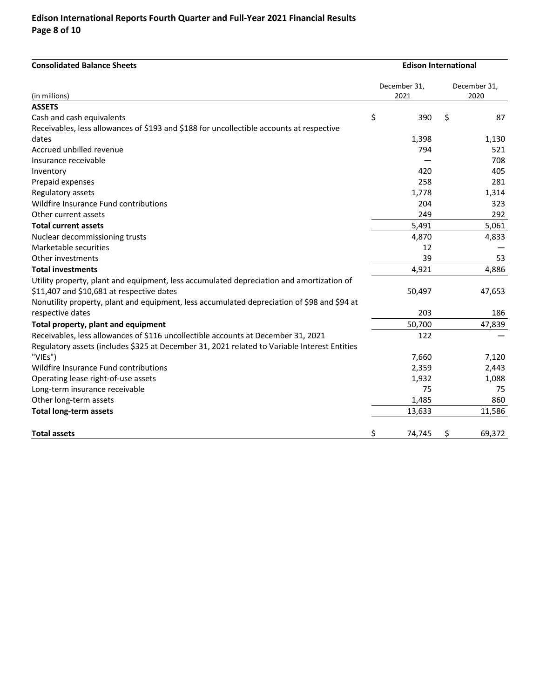# **Edison International Reports Fourth Quarter and Full-Year 2021 Financial Results Page 8 of 10**

| <b>Consolidated Balance Sheets</b>                                                           | <b>Edison International</b> |              |
|----------------------------------------------------------------------------------------------|-----------------------------|--------------|
|                                                                                              | December 31,                | December 31, |
| (in millions)                                                                                | 2021                        | 2020         |
| <b>ASSETS</b>                                                                                |                             |              |
| Cash and cash equivalents                                                                    | \$<br>390                   | \$<br>87     |
| Receivables, less allowances of \$193 and \$188 for uncollectible accounts at respective     |                             |              |
| dates                                                                                        | 1,398                       | 1,130        |
| Accrued unbilled revenue                                                                     | 794                         | 521          |
| Insurance receivable                                                                         |                             | 708          |
| Inventory                                                                                    | 420                         | 405          |
| Prepaid expenses                                                                             | 258                         | 281          |
| Regulatory assets                                                                            | 1,778                       | 1,314        |
| Wildfire Insurance Fund contributions                                                        | 204                         | 323          |
| Other current assets                                                                         | 249                         | 292          |
| <b>Total current assets</b>                                                                  | 5,491                       | 5,061        |
| Nuclear decommissioning trusts                                                               | 4,870                       | 4,833        |
| Marketable securities                                                                        | 12                          |              |
| Other investments                                                                            | 39                          | 53           |
| <b>Total investments</b>                                                                     | 4,921                       | 4,886        |
| Utility property, plant and equipment, less accumulated depreciation and amortization of     |                             |              |
| \$11,407 and \$10,681 at respective dates                                                    | 50,497                      | 47,653       |
| Nonutility property, plant and equipment, less accumulated depreciation of \$98 and \$94 at  |                             |              |
| respective dates                                                                             | 203                         | 186          |
| Total property, plant and equipment                                                          | 50,700                      | 47,839       |
| Receivables, less allowances of \$116 uncollectible accounts at December 31, 2021            | 122                         |              |
| Regulatory assets (includes \$325 at December 31, 2021 related to Variable Interest Entities |                             |              |
| "VIEs")                                                                                      | 7,660                       | 7,120        |
| Wildfire Insurance Fund contributions                                                        | 2,359                       | 2,443        |
| Operating lease right-of-use assets                                                          | 1,932                       | 1,088        |
| Long-term insurance receivable                                                               | 75                          | 75           |
| Other long-term assets                                                                       | 1,485                       | 860          |
| <b>Total long-term assets</b>                                                                | 13,633                      | 11,586       |
| <b>Total assets</b>                                                                          | \$<br>74,745                | \$<br>69,372 |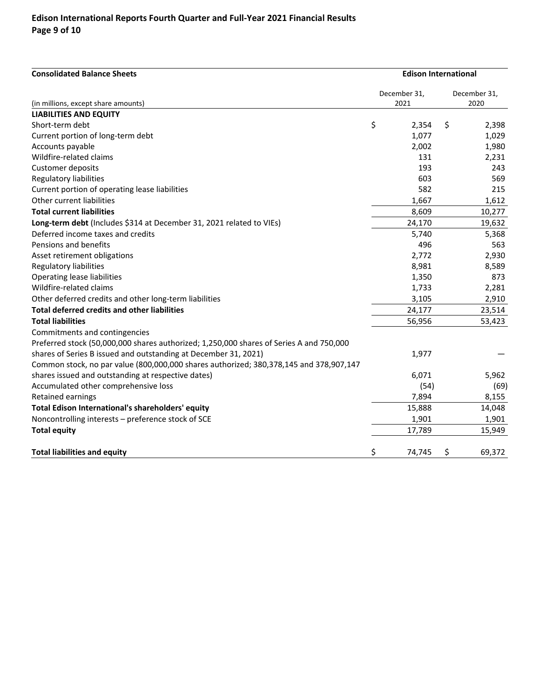| <b>Consolidated Balance Sheets</b>                                                      | <b>Edison International</b> |     |                      |
|-----------------------------------------------------------------------------------------|-----------------------------|-----|----------------------|
| (in millions, except share amounts)                                                     | December 31,<br>2021        |     | December 31,<br>2020 |
| <b>LIABILITIES AND EQUITY</b>                                                           |                             |     |                      |
| Short-term debt                                                                         | \$<br>2,354                 | \$  | 2,398                |
| Current portion of long-term debt                                                       | 1,077                       |     | 1,029                |
| Accounts payable                                                                        | 2,002                       |     | 1,980                |
| Wildfire-related claims                                                                 | 131                         |     | 2,231                |
| Customer deposits                                                                       | 193                         |     | 243                  |
| <b>Regulatory liabilities</b>                                                           | 603                         |     | 569                  |
| Current portion of operating lease liabilities                                          | 582                         |     | 215                  |
| Other current liabilities                                                               | 1,667                       |     | 1,612                |
| <b>Total current liabilities</b>                                                        | 8,609                       |     | 10,277               |
| Long-term debt (Includes \$314 at December 31, 2021 related to VIEs)                    | 24,170                      |     | 19,632               |
| Deferred income taxes and credits                                                       | 5,740                       |     | 5,368                |
| Pensions and benefits                                                                   | 496                         |     | 563                  |
| Asset retirement obligations                                                            | 2,772                       |     | 2,930                |
| <b>Regulatory liabilities</b>                                                           | 8,981                       |     | 8,589                |
| Operating lease liabilities                                                             | 1,350                       |     | 873                  |
| Wildfire-related claims                                                                 | 1,733                       |     | 2,281                |
| Other deferred credits and other long-term liabilities                                  | 3,105                       |     | 2,910                |
| <b>Total deferred credits and other liabilities</b>                                     | 24,177                      |     | 23,514               |
| <b>Total liabilities</b>                                                                | 56,956                      |     | 53,423               |
| Commitments and contingencies                                                           |                             |     |                      |
| Preferred stock (50,000,000 shares authorized; 1,250,000 shares of Series A and 750,000 |                             |     |                      |
| shares of Series B issued and outstanding at December 31, 2021)                         | 1,977                       |     |                      |
| Common stock, no par value (800,000,000 shares authorized; 380,378,145 and 378,907,147  |                             |     |                      |
| shares issued and outstanding at respective dates)                                      | 6,071                       |     | 5,962                |
| Accumulated other comprehensive loss                                                    | (54)                        |     | (69)                 |
| Retained earnings                                                                       | 7,894                       |     | 8,155                |
| Total Edison International's shareholders' equity                                       | 15,888                      |     | 14,048               |
| Noncontrolling interests - preference stock of SCE                                      | 1,901                       |     | 1,901                |
| <b>Total equity</b>                                                                     | 17,789                      |     | 15,949               |
| <b>Total liabilities and equity</b>                                                     | \$<br>74,745                | \$, | 69,372               |